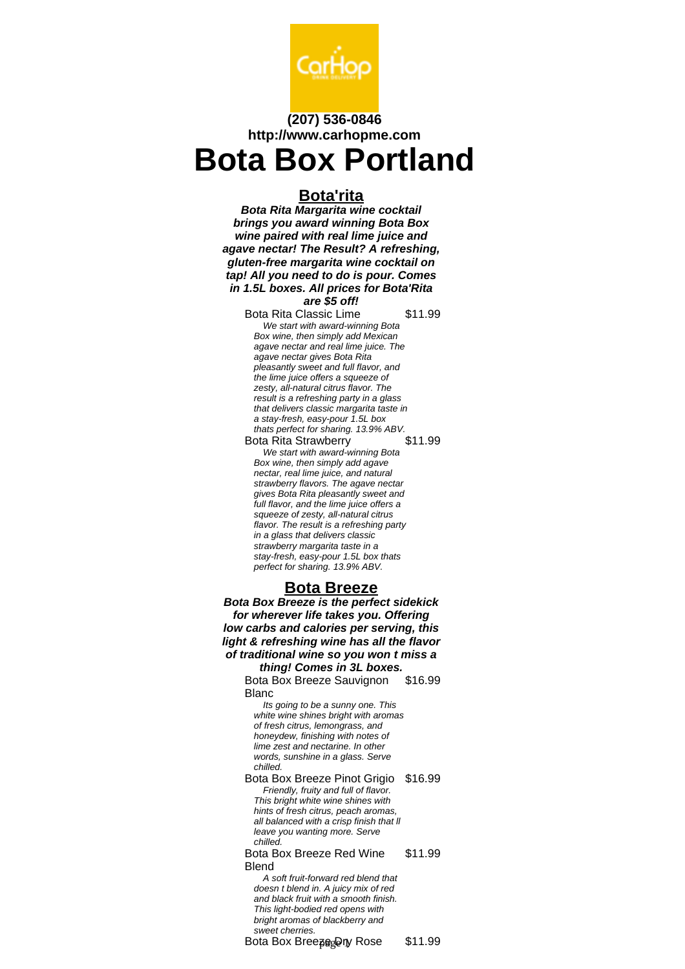

# **(207) 536-0846 http://www.carhopme.com Bota Box Portland**

# **Bota'rita**

**Bota Rita Margarita wine cocktail brings you award winning Bota Box wine paired with real lime juice and agave nectar! The Result? A refreshing, gluten-free margarita wine cocktail on tap! All you need to do is pour. Comes in 1.5L boxes. All prices for Bota'Rita**

## **are \$5 off!**

Bota Rita Classic Lime \$11.99 We start with award-winning Bota Box wine, then simply add Mexican agave nectar and real lime juice. The agave nectar gives Bota Rita pleasantly sweet and full flavor, and the lime juice offers a squeeze of zesty, all-natural citrus flavor. The result is a refreshing party in a glass that delivers classic margarita taste in a stay-fresh, easy-pour 1.5L box thats perfect for sharing. 13.9% ABV.<br>Ota Rita Strawberry \$11.99 Bota Rita Strawberry We start with award-winning Bota Box wine, then simply add agave nectar, real lime juice, and natural strawberry flavors. The agave nectar gives Bota Rita pleasantly sweet and full flavor, and the lime juice offers a squeeze of zesty, all-natural citrus flavor. The result is a refreshing party in a glass that delivers classic strawberry margarita taste in a

stay-fresh, easy-pour 1.5L box thats perfect for sharing. 13.9% ABV.

# **Bota Breeze**

**Bota Box Breeze is the perfect sidekick for wherever life takes you. Offering low carbs and calories per serving, this light & refreshing wine has all the flavor of traditional wine so you won t miss a thing! Comes in 3L boxes.**

Bota Box Breeze Sauvignon Blanc \$16.99

Its going to be a sunny one. This white wine shines bright with aromas of fresh citrus, lemongrass, and honeydew, finishing with notes of lime zest and nectarine. In other words, sunshine in a glass. Serve chilled.

Bota Box Breeze Pinot Grigio \$16.99 Friendly, fruity and full of flavor. This bright white wine shines with hints of fresh citrus, peach aromas, all balanced with a crisp finish that ll leave you wanting more. Serve chilled.

Bota Box Breeze Red Wine **Blend** \$11.99

A soft fruit-forward red blend that doesn t blend in. A juicy mix of red and black fruit with a smooth finish. This light-bodied red opens with bright aromas of blackberry and sweet cherries.

Bota Box Breeze Dry Rose \$11.99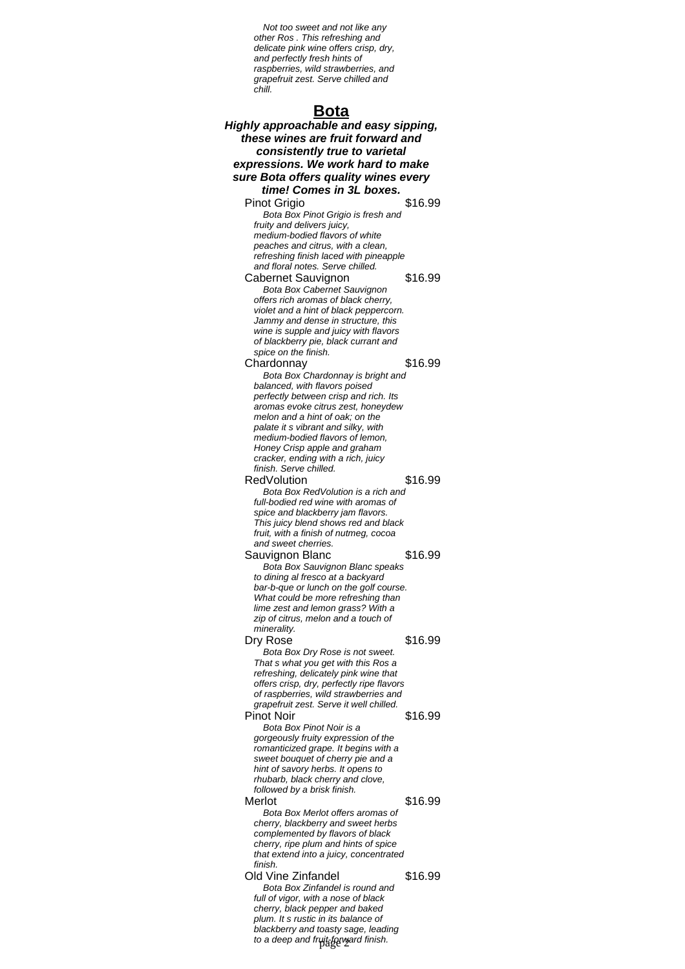Not too sweet and not like any other Ros . This refreshing and delicate pink wine offers crisp, dry, and perfectly fresh hints of raspberries, wild strawberries, and grapefruit zest. Serve chilled and chill.

# **Bota**

| <u>Dula</u><br>Highly approachable and easy sipping,                               |         |
|------------------------------------------------------------------------------------|---------|
| these wines are fruit forward and                                                  |         |
| consistently true to varietal                                                      |         |
| expressions. We work hard to make                                                  |         |
| sure Bota offers quality wines every                                               |         |
| time! Comes in 3L boxes.                                                           |         |
| Pinot Grigio                                                                       | \$16.99 |
| Bota Box Pinot Grigio is fresh and                                                 |         |
| fruity and delivers juicy,                                                         |         |
| medium-bodied flavors of white<br>peaches and citrus, with a clean,                |         |
| refreshing finish laced with pineapple                                             |         |
| and floral notes. Serve chilled.                                                   |         |
| Cabernet Sauvignon                                                                 | \$16.99 |
| Bota Box Cabernet Sauvignon<br>offers rich aromas of black cherry,                 |         |
| violet and a hint of black peppercorn.                                             |         |
| Jammy and dense in structure, this                                                 |         |
| wine is supple and juicy with flavors<br>of blackberry pie, black currant and      |         |
| spice on the finish.                                                               |         |
| Chardonnay                                                                         | \$16.99 |
| Bota Box Chardonnay is bright and                                                  |         |
| balanced, with flavors poised<br>perfectly between crisp and rich. Its             |         |
| aromas evoke citrus zest, honeydew                                                 |         |
| melon and a hint of oak; on the                                                    |         |
| palate it s vibrant and silky, with<br>medium-bodied flavors of lemon,             |         |
| Honey Crisp apple and graham                                                       |         |
| cracker, ending with a rich, juicy                                                 |         |
| finish. Serve chilled.                                                             |         |
| <b>RedVolution</b>                                                                 | \$16.99 |
| Bota Box RedVolution is a rich and<br>full-bodied red wine with aromas of          |         |
| spice and blackberry jam flavors.                                                  |         |
| This juicy blend shows red and black                                               |         |
| fruit, with a finish of nutmeg, cocoa<br>and sweet cherries.                       |         |
| Sauvignon Blanc                                                                    | \$16.99 |
| Bota Box Sauvignon Blanc speaks                                                    |         |
| to dining al fresco at a backyard                                                  |         |
| bar-b-que or lunch on the golf course.<br>What could be more refreshing than       |         |
| lime zest and lemon grass? With a                                                  |         |
| zip of citrus, melon and a touch of                                                |         |
| minerality.<br>Dry Rose                                                            | \$16.99 |
| Bota Box Dry Rose is not sweet.                                                    |         |
| That s what you get with this Ros a                                                |         |
| refreshing, delicately pink wine that                                              |         |
| offers crisp, dry, perfectly ripe flavors<br>of raspberries, wild strawberries and |         |
| grapefruit zest. Serve it well chilled.                                            |         |
| <b>Pinot Noir</b>                                                                  | \$16.99 |
| Bota Box Pinot Noir is a                                                           |         |
| gorgeously fruity expression of the<br>romanticized grape. It begins with a        |         |
| sweet bouquet of cherry pie and a                                                  |         |
| hint of savory herbs. It opens to                                                  |         |
| rhubarb, black cherry and clove,<br>followed by a brisk finish.                    |         |
| Merlot                                                                             | \$16.99 |
| Bota Box Merlot offers aromas of                                                   |         |
| cherry, blackberry and sweet herbs                                                 |         |
| complemented by flavors of black<br>cherry, ripe plum and hints of spice           |         |
| that extend into a juicy, concentrated                                             |         |
| finish.                                                                            |         |
| <b>Old Vine Zinfandel</b>                                                          | \$16.99 |
| Bota Box Zinfandel is round and<br>full of vigor, with a nose of black             |         |
| cherry, black pepper and baked                                                     |         |
| plum. It s rustic in its balance of                                                |         |
| blackberry and toasty sage, leading<br>to a deep and fruit forward finish.         |         |
|                                                                                    |         |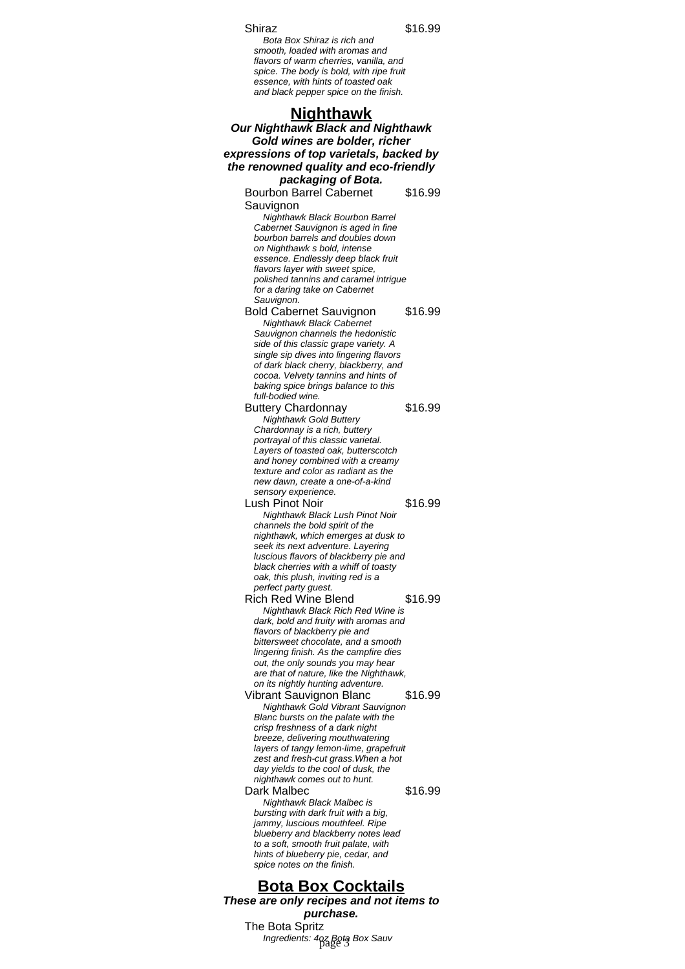#### Shiraz \$16.99

Bota Box Shiraz is rich and smooth, loaded with aromas and flavors of warm cherries, vanilla, and spice. The body is bold, with ripe fruit essence, with hints of toasted oak and black pepper spice on the finish.

**Nighthawk Our Nighthawk Black and Nighthawk Gold wines are bolder, richer expressions of top varietals, backed by the renowned quality and eco-friendly packaging of Bota.** Bourbon Barrel Cabernet Sauvignon \$16.99 Nighthawk Black Bourbon Barrel Cabernet Sauvignon is aged in fine bourbon barrels and doubles down on Nighthawk s bold, intense essence. Endlessly deep black fruit flavors layer with sweet spice, polished tannins and caramel intrigue for a daring take on Cabernet Sauvignon. Bold Cabernet Sauvignon \$16.99 Nighthawk Black Cabernet Sauvignon channels the hedonistic side of this classic grape variety. A single sip dives into lingering flavors of dark black cherry, blackberry, and cocoa. Velvety tannins and hints of baking spice brings balance to this full-bodied wine. Buttery Chardonnay \$16.99 Nighthawk Gold Buttery Chardonnay is a rich, buttery portrayal of this classic varietal. Layers of toasted oak, butterscotch and honey combined with a creamy texture and color as radiant as the new dawn, create a one-of-a-kind sensory experience. Lush Pinot Noir \$16.99 Nighthawk Black Lush Pinot Noir channels the bold spirit of the nighthawk, which emerges at dusk to seek its next adventure. Layering luscious flavors of blackberry pie and black cherries with a whiff of toasty oak, this plush, inviting red is a perfect party guest. Rich Red Wine Blend \$16.99 Nighthawk Black Rich Red Wine is dark, bold and fruity with aromas and flavors of blackberry pie and bittersweet chocolate, and a smooth lingering finish. As the campfire dies out, the only sounds you may hear are that of nature, like the Nighthawk, on its nightly hunting adventure. Vibrant Sauvignon Blanc \$16.99 Nighthawk Gold Vibrant Sauvignon Blanc bursts on the palate with the crisp freshness of a dark night breeze, delivering mouthwatering layers of tangy lemon-lime, grapefruit zest and fresh-cut grass.When a hot day yields to the cool of dusk, the nighthawk comes out to hunt. Dark Malbec \$16.99 Nighthawk Black Malbec is bursting with dark fruit with a big, jammy, luscious mouthfeel. Ripe blueberry and blackberry notes lead to a soft, smooth fruit palate, with hints of blueberry pie, cedar, and spice notes on the finish.

**Bota Box Cocktails These are only recipes and not items to purchase.** The Bota Spritz Ingredients: 407 Bota Box Sauv